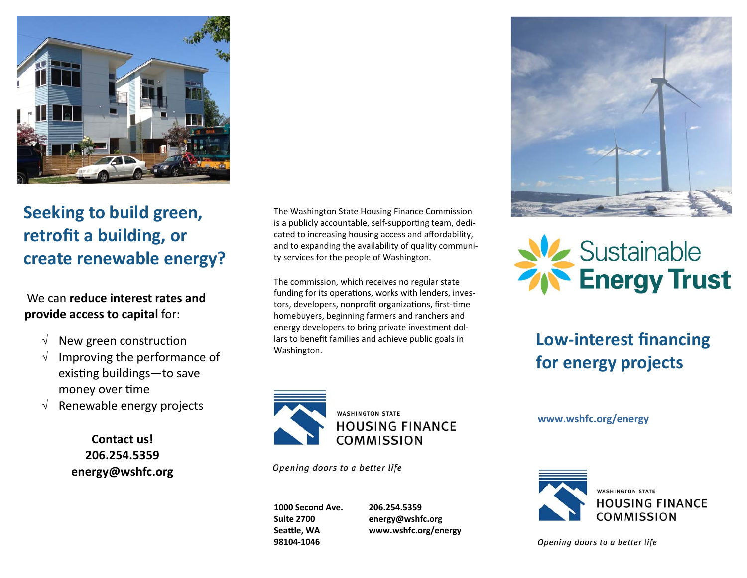

# **Seeking to build green, retrofit a building, or create renewable energy?**

## We can **reduce interest rates and provide access to capital** for:

- $\sqrt{ }$  New green construction
- Improving the performance of existing buildings—to save money over time
- $\sqrt{\phantom{a}}$  Renewable energy projects

**Contact us! 206.254.5359 energy@wshfc.org** 

The Washington State Housing Finance Commission is a publicly accountable, self-supporting team, dedicated to increasing housing access and affordability, and to expanding the availability of quality communi‐ ty services for the people of Washington.

The commission, which receives no regular state funding for its operations, works with lenders, investors, developers, nonprofit organizations, first-time homebuyers, beginning farmers and ranchers and energy developers to bring private investment dol‐ lars to benefit families and achieve public goals in lars to benefit families and achieve public goals in **Low-interest financing**<br>Washington.



Opening doors to a better life

**1000 Second Ave. Suite 2700 SeaƩle, WA 98104‐1046** 

**206.254.5359 energy@wshfc.org www.wshfc.org/energy** 





# **for energy projects**

**www.wshfc.org/energy** 



Opening doors to a better life